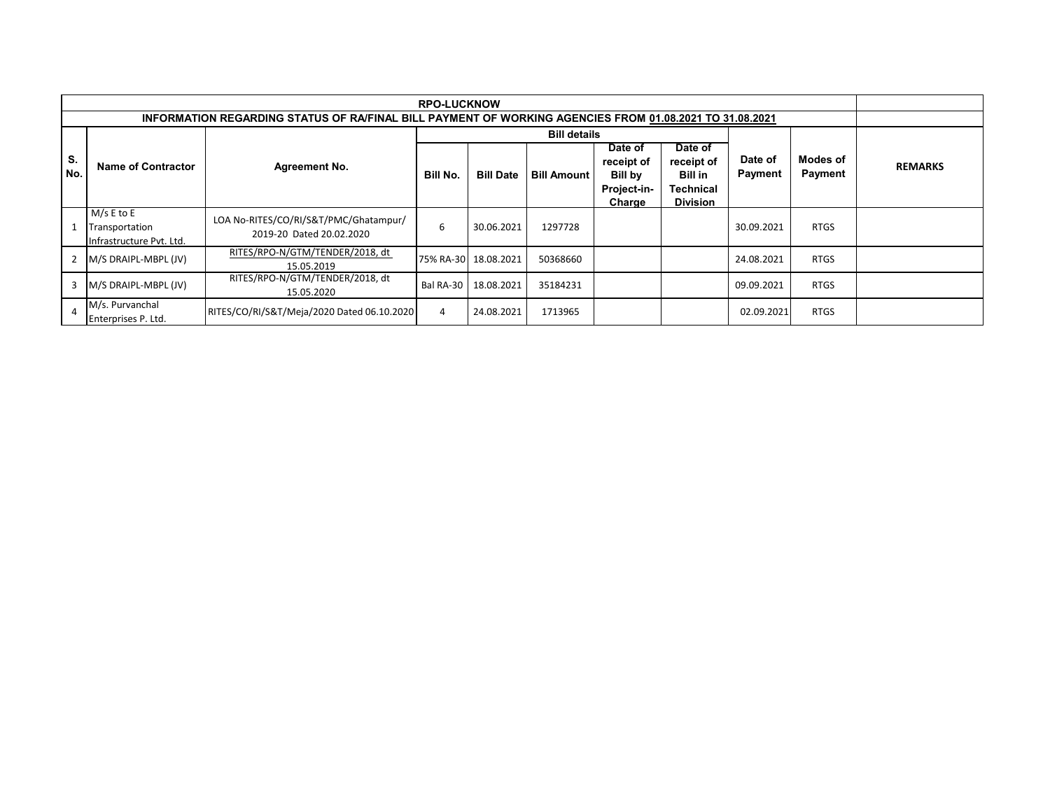| <b>RPO-LUCKNOW</b> |                                                                                                         |                                                                   |           |                      |                     |                                                           |                                                                                |                    |                            |                |  |
|--------------------|---------------------------------------------------------------------------------------------------------|-------------------------------------------------------------------|-----------|----------------------|---------------------|-----------------------------------------------------------|--------------------------------------------------------------------------------|--------------------|----------------------------|----------------|--|
|                    | INFORMATION REGARDING STATUS OF RA/FINAL BILL PAYMENT OF WORKING AGENCIES FROM 01.08.2021 TO 31.08.2021 |                                                                   |           |                      |                     |                                                           |                                                                                |                    |                            |                |  |
|                    |                                                                                                         |                                                                   |           |                      | <b>Bill details</b> |                                                           |                                                                                |                    |                            |                |  |
| S.<br>No.          | <b>Name of Contractor</b>                                                                               | <b>Agreement No.</b>                                              | Bill No.  | <b>Bill Date</b>     | <b>Bill Amount</b>  | Date of<br>receipt of<br>Bill by<br>Project-in-<br>Charge | Date of<br>receipt of<br><b>Bill in</b><br><b>Technical</b><br><b>Division</b> | Date of<br>Payment | <b>Modes of</b><br>Payment | <b>REMARKS</b> |  |
| $\mathbf{1}$       | $M/s E$ to E<br>Transportation<br>Infrastructure Pvt. Ltd.                                              | LOA No-RITES/CO/RI/S&T/PMC/Ghatampur/<br>2019-20 Dated 20.02.2020 | 6         | 30.06.2021           | 1297728             |                                                           |                                                                                | 30.09.2021         | <b>RTGS</b>                |                |  |
| 2                  | M/S DRAIPL-MBPL (JV)                                                                                    | RITES/RPO-N/GTM/TENDER/2018, dt<br>15.05.2019                     |           | 75% RA-30 18.08.2021 | 50368660            |                                                           |                                                                                | 24.08.2021         | <b>RTGS</b>                |                |  |
| 3                  | M/S DRAIPL-MBPL (JV)                                                                                    | RITES/RPO-N/GTM/TENDER/2018, dt<br>15.05.2020                     | Bal RA-30 | 18.08.2021           | 35184231            |                                                           |                                                                                | 09.09.2021         | <b>RTGS</b>                |                |  |
| 4                  | M/s. Purvanchal<br>Enterprises P. Ltd.                                                                  | RITES/CO/RI/S&T/Meja/2020 Dated 06.10.2020                        | 4         | 24.08.2021           | 1713965             |                                                           |                                                                                | 02.09.2021         | <b>RTGS</b>                |                |  |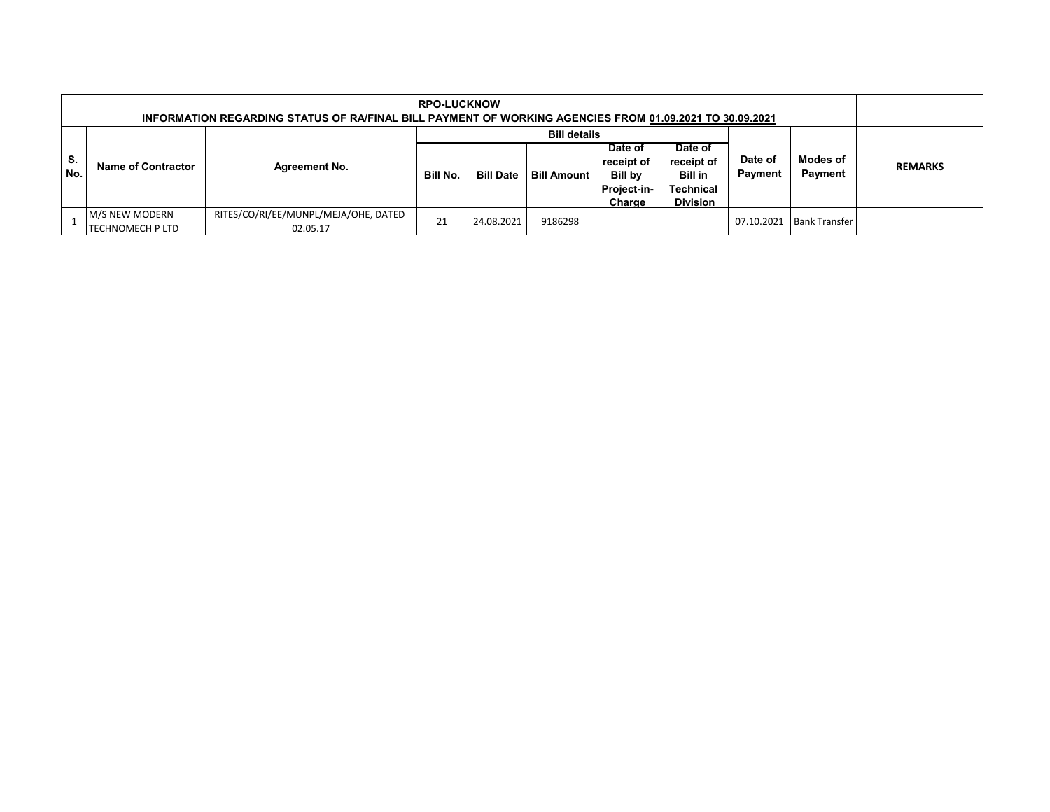|           | <b>RPO-LUCKNOW</b><br>INFORMATION REGARDING STATUS OF RA/FINAL BILL PAYMENT OF WORKING AGENCIES FROM 01.09.2021 TO 30.09.2021 |                                                  |          |                  |                     |                                                                  |                                                                                |                    |                            |                |
|-----------|-------------------------------------------------------------------------------------------------------------------------------|--------------------------------------------------|----------|------------------|---------------------|------------------------------------------------------------------|--------------------------------------------------------------------------------|--------------------|----------------------------|----------------|
|           |                                                                                                                               |                                                  |          |                  | <b>Bill details</b> |                                                                  |                                                                                |                    |                            |                |
| S.<br>No. | Name of Contractor                                                                                                            | <b>Agreement No.</b>                             | Bill No. | <b>Bill Date</b> | <b>Bill Amount</b>  | Date of<br>receipt of<br><b>Bill by</b><br>Project-in-<br>Charge | Date of<br>receipt of<br><b>Bill in</b><br><b>Technical</b><br><b>Division</b> | Date of<br>Payment | <b>Modes of</b><br>Payment | <b>REMARKS</b> |
|           | <b>IM/S NEW MODERN</b><br>TECHNOMECH P LTD                                                                                    | RITES/CO/RI/EE/MUNPL/MEJA/OHE, DATED<br>02.05.17 | 21       | 24.08.2021       | 9186298             |                                                                  |                                                                                | 07.10.2021         | <b>Bank Transfer</b>       |                |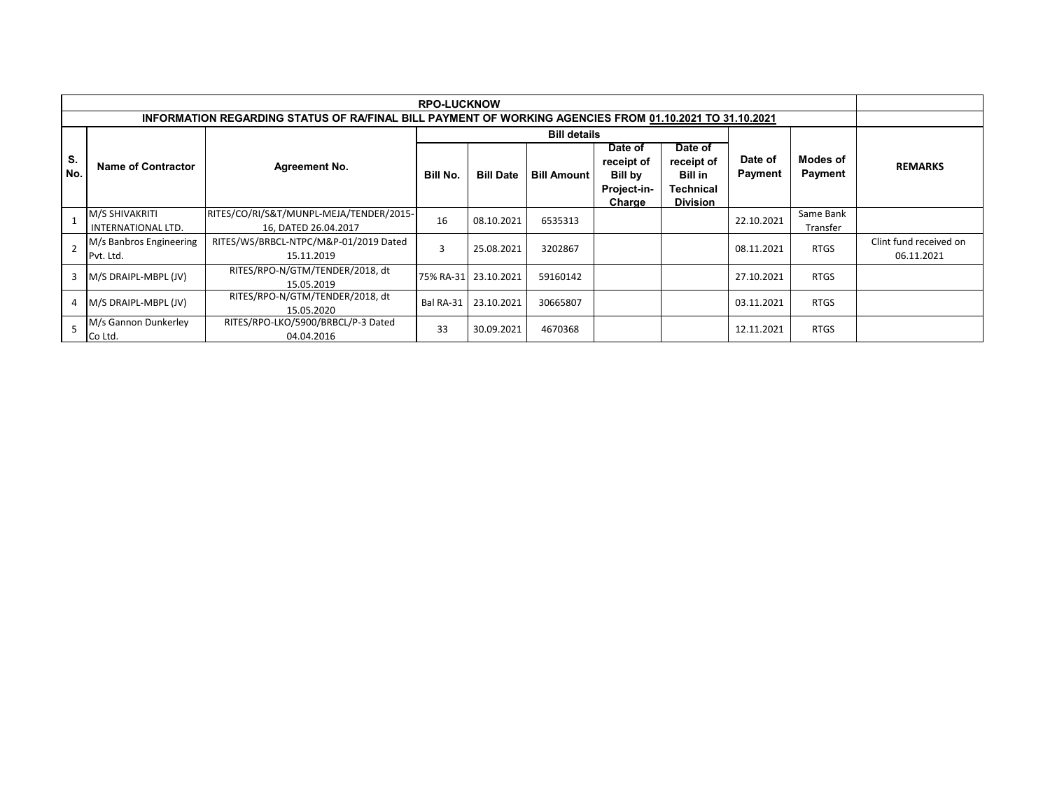|           | <b>RPO-LUCKNOW</b>                                                                                      |                                                                 |                |                      |                     |                                                           |                                                                  |                           |                       |                                      |  |
|-----------|---------------------------------------------------------------------------------------------------------|-----------------------------------------------------------------|----------------|----------------------|---------------------|-----------------------------------------------------------|------------------------------------------------------------------|---------------------------|-----------------------|--------------------------------------|--|
|           | INFORMATION REGARDING STATUS OF RA/FINAL BILL PAYMENT OF WORKING AGENCIES FROM 01.10.2021 TO 31.10.2021 |                                                                 |                |                      |                     |                                                           |                                                                  |                           |                       |                                      |  |
|           |                                                                                                         |                                                                 |                |                      | <b>Bill details</b> |                                                           |                                                                  |                           |                       |                                      |  |
| S.<br>No. | <b>Name of Contractor</b>                                                                               | <b>Agreement No.</b>                                            | Bill No.       | <b>Bill Date</b>     | <b>Bill Amount</b>  | Date of<br>receipt of<br>Bill by<br>Project-in-<br>Charge | Date of<br>receipt of<br>Bill in<br>Technical<br><b>Division</b> | Date of<br><b>Payment</b> | Modes of<br>Payment   | <b>REMARKS</b>                       |  |
|           | M/S SHIVAKRITI<br>INTERNATIONAL LTD.                                                                    | RITES/CO/RI/S&T/MUNPL-MEJA/TENDER/2015-<br>16. DATED 26.04.2017 | 16             | 08.10.2021           | 6535313             |                                                           |                                                                  | 22.10.2021                | Same Bank<br>Transfer |                                      |  |
|           | M/s Banbros Engineering<br>Pvt. Ltd.                                                                    | RITES/WS/BRBCL-NTPC/M&P-01/2019 Dated<br>15.11.2019             | $\overline{3}$ | 25.08.2021           | 3202867             |                                                           |                                                                  | 08.11.2021                | <b>RTGS</b>           | Clint fund received on<br>06.11.2021 |  |
| 3         | M/S DRAIPL-MBPL (JV)                                                                                    | RITES/RPO-N/GTM/TENDER/2018, dt<br>15.05.2019                   |                | 75% RA-31 23.10.2021 | 59160142            |                                                           |                                                                  | 27.10.2021                | <b>RTGS</b>           |                                      |  |
| 4         | $M/S$ DRAIPL-MBPL (JV)                                                                                  | RITES/RPO-N/GTM/TENDER/2018, dt<br>15.05.2020                   | Bal RA-31      | 23.10.2021           | 30665807            |                                                           |                                                                  | 03.11.2021                | <b>RTGS</b>           |                                      |  |
|           | M/s Gannon Dunkerley<br>Co Ltd.                                                                         | RITES/RPO-LKO/5900/BRBCL/P-3 Dated<br>04.04.2016                | 33             | 30.09.2021           | 4670368             |                                                           |                                                                  | 12.11.2021                | <b>RTGS</b>           |                                      |  |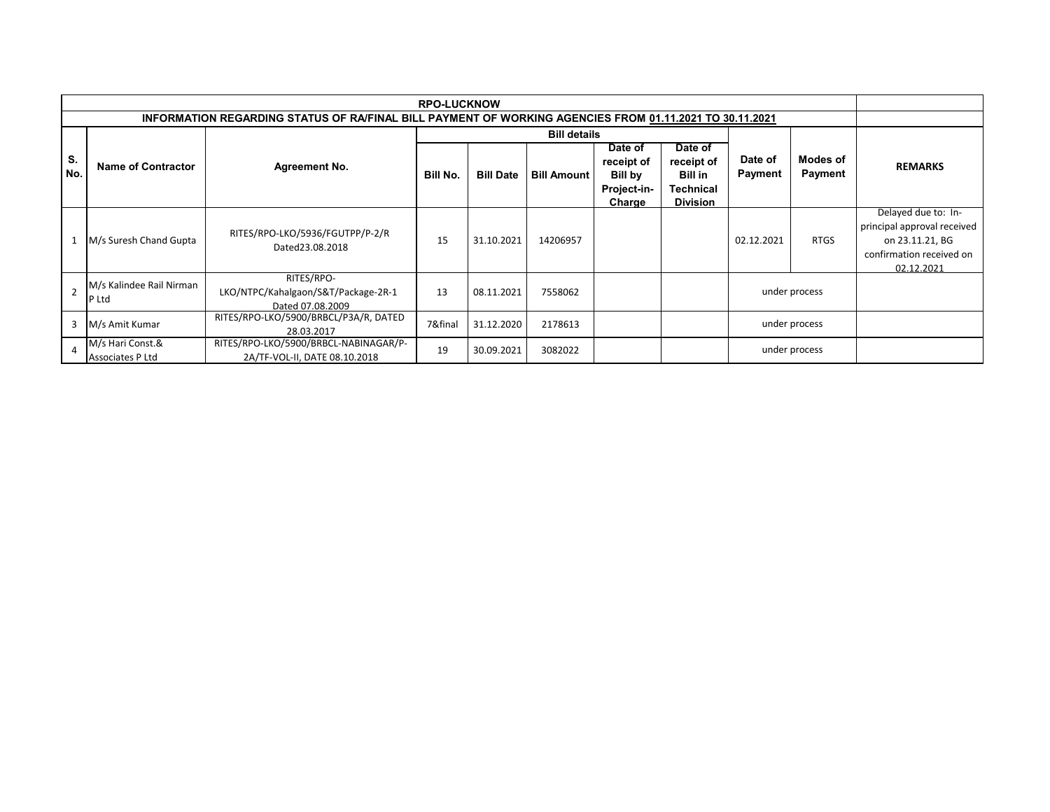|               | <b>RPO-LUCKNOW</b>                                                                                      |                                                                        |          |                  |                     |                                                           |                                                                         |                    |                     |                                                                                                                 |  |
|---------------|---------------------------------------------------------------------------------------------------------|------------------------------------------------------------------------|----------|------------------|---------------------|-----------------------------------------------------------|-------------------------------------------------------------------------|--------------------|---------------------|-----------------------------------------------------------------------------------------------------------------|--|
|               | INFORMATION REGARDING STATUS OF RA/FINAL BILL PAYMENT OF WORKING AGENCIES FROM 01.11.2021 TO 30.11.2021 |                                                                        |          |                  |                     |                                                           |                                                                         |                    |                     |                                                                                                                 |  |
|               |                                                                                                         |                                                                        |          |                  | <b>Bill details</b> |                                                           |                                                                         |                    |                     |                                                                                                                 |  |
| S.<br>No.     | <b>Name of Contractor</b>                                                                               | <b>Agreement No.</b>                                                   | Bill No. | <b>Bill Date</b> | <b>Bill Amount</b>  | Date of<br>receipt of<br>Bill by<br>Project-in-<br>Charge | Date of<br>receipt of<br><b>Bill in</b><br>Technical<br><b>Division</b> | Date of<br>Payment | Modes of<br>Payment | <b>REMARKS</b>                                                                                                  |  |
| 1             | M/s Suresh Chand Gupta                                                                                  | RITES/RPO-LKO/5936/FGUTPP/P-2/R<br>Dated23.08.2018                     | 15       | 31.10.2021       | 14206957            |                                                           |                                                                         | 02.12.2021         | <b>RTGS</b>         | Delayed due to: In-<br>principal approval received<br>on 23.11.21, BG<br>confirmation received on<br>02.12.2021 |  |
| $\mathcal{P}$ | M/s Kalindee Rail Nirman<br>P Ltd                                                                       | RITES/RPO-<br>LKO/NTPC/Kahalgaon/S&T/Package-2R-1<br>Dated 07.08.2009  | 13       | 08.11.2021       | 7558062             |                                                           |                                                                         |                    | under process       |                                                                                                                 |  |
| 3             | M/s Amit Kumar                                                                                          | RITES/RPO-LKO/5900/BRBCL/P3A/R, DATED<br>28.03.2017                    | 7&final  | 31.12.2020       | 2178613             |                                                           |                                                                         |                    | under process       |                                                                                                                 |  |
|               | M/s Hari Const.&<br>Associates P Ltd                                                                    | RITES/RPO-LKO/5900/BRBCL-NABINAGAR/P-<br>2A/TF-VOL-II, DATE 08.10.2018 | 19       | 30.09.2021       | 3082022             |                                                           |                                                                         |                    | under process       |                                                                                                                 |  |